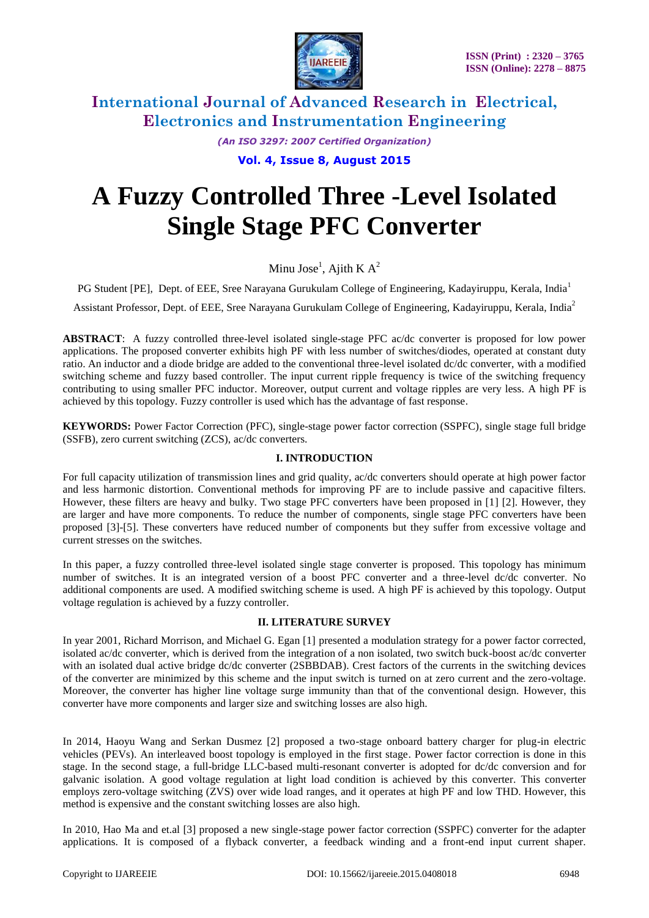

*(An ISO 3297: 2007 Certified Organization)*

**Vol. 4, Issue 8, August 2015**

# **A Fuzzy Controlled Three -Level Isolated Single Stage PFC Converter**

Minu Jose<sup>1</sup>, Ajith K A<sup>2</sup>

PG Student [PE], Dept. of EEE, Sree Narayana Gurukulam College of Engineering, Kadayiruppu, Kerala, India<sup>1</sup>

Assistant Professor, Dept. of EEE, Sree Narayana Gurukulam College of Engineering, Kadayiruppu, Kerala, India<sup>2</sup>

**ABSTRACT**: A fuzzy controlled three-level isolated single-stage PFC ac/dc converter is proposed for low power applications. The proposed converter exhibits high PF with less number of switches/diodes, operated at constant duty ratio. An inductor and a diode bridge are added to the conventional three-level isolated dc/dc converter, with a modified switching scheme and fuzzy based controller. The input current ripple frequency is twice of the switching frequency contributing to using smaller PFC inductor. Moreover, output current and voltage ripples are very less. A high PF is achieved by this topology. Fuzzy controller is used which has the advantage of fast response.

**KEYWORDS:** Power Factor Correction (PFC), single-stage power factor correction (SSPFC), single stage full bridge (SSFB), zero current switching (ZCS), ac/dc converters.

#### **I. INTRODUCTION**

For full capacity utilization of transmission lines and grid quality, ac/dc converters should operate at high power factor and less harmonic distortion. Conventional methods for improving PF are to include passive and capacitive filters. However, these filters are heavy and bulky. Two stage PFC converters have been proposed in [1] [2]. However, they are larger and have more components. To reduce the number of components, single stage PFC converters have been proposed [3]-[5]. These converters have reduced number of components but they suffer from excessive voltage and current stresses on the switches.

In this paper, a fuzzy controlled three-level isolated single stage converter is proposed. This topology has minimum number of switches. It is an integrated version of a boost PFC converter and a three-level dc/dc converter. No additional components are used. A modified switching scheme is used. A high PF is achieved by this topology. Output voltage regulation is achieved by a fuzzy controller.

#### **II. LITERATURE SURVEY**

In year 2001, Richard Morrison, and Michael G. Egan [1] presented a modulation strategy for a power factor corrected, isolated ac/dc converter, which is derived from the integration of a non isolated, two switch buck-boost ac/dc converter with an isolated dual active bridge dc/dc converter (2SBBDAB). Crest factors of the currents in the switching devices of the converter are minimized by this scheme and the input switch is turned on at zero current and the zero-voltage. Moreover, the converter has higher line voltage surge immunity than that of the conventional design. However, this converter have more components and larger size and switching losses are also high.

In 2014, Haoyu Wang and Serkan Dusmez [2] proposed a two-stage onboard battery charger for plug-in electric vehicles (PEVs). An interleaved boost topology is employed in the first stage. Power factor correction is done in this stage. In the second stage, a full-bridge LLC-based multi-resonant converter is adopted for dc/dc conversion and for galvanic isolation. A good voltage regulation at light load condition is achieved by this converter. This converter employs zero-voltage switching (ZVS) over wide load ranges, and it operates at high PF and low THD. However, this method is expensive and the constant switching losses are also high.

In 2010, Hao Ma and et.al [3] proposed a new single-stage power factor correction (SSPFC) converter for the adapter applications. It is composed of a flyback converter, a feedback winding and a front-end input current shaper.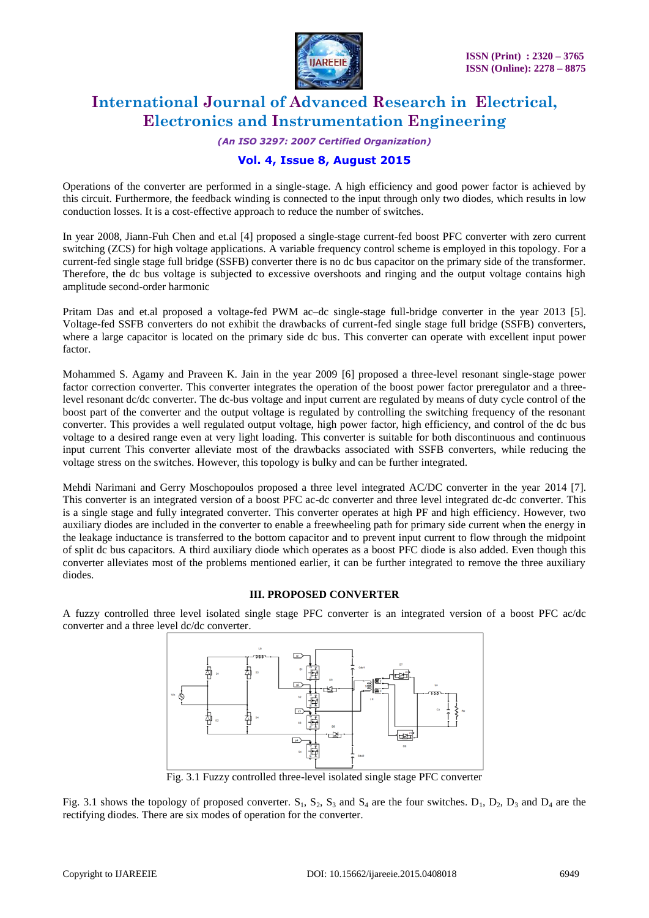

*(An ISO 3297: 2007 Certified Organization)*

### **Vol. 4, Issue 8, August 2015**

Operations of the converter are performed in a single-stage. A high efficiency and good power factor is achieved by this circuit. Furthermore, the feedback winding is connected to the input through only two diodes, which results in low conduction losses. It is a cost-effective approach to reduce the number of switches.

In year 2008, Jiann-Fuh Chen and et.al [4] proposed a single-stage current-fed boost PFC converter with zero current switching (ZCS) for high voltage applications. A variable frequency control scheme is employed in this topology. For a current-fed single stage full bridge (SSFB) converter there is no dc bus capacitor on the primary side of the transformer. Therefore, the dc bus voltage is subjected to excessive overshoots and ringing and the output voltage contains high amplitude second-order harmonic

Pritam Das and et.al proposed a voltage-fed PWM ac–dc single-stage full-bridge converter in the year 2013 [5]. Voltage-fed SSFB converters do not exhibit the drawbacks of current-fed single stage full bridge (SSFB) converters, where a large capacitor is located on the primary side dc bus. This converter can operate with excellent input power factor.

Mohammed S. Agamy and Praveen K. Jain in the year 2009 [6] proposed a three-level resonant single-stage power factor correction converter. This converter integrates the operation of the boost power factor preregulator and a threelevel resonant dc/dc converter. The dc-bus voltage and input current are regulated by means of duty cycle control of the boost part of the converter and the output voltage is regulated by controlling the switching frequency of the resonant converter. This provides a well regulated output voltage, high power factor, high efficiency, and control of the dc bus voltage to a desired range even at very light loading. This converter is suitable for both discontinuous and continuous input current This converter alleviate most of the drawbacks associated with SSFB converters, while reducing the voltage stress on the switches. However, this topology is bulky and can be further integrated.

Mehdi Narimani and Gerry Moschopoulos proposed a three level integrated AC/DC converter in the year 2014 [7]. This converter is an integrated version of a boost PFC ac-dc converter and three level integrated dc-dc converter. This is a single stage and fully integrated converter. This converter operates at high PF and high efficiency. However, two auxiliary diodes are included in the converter to enable a freewheeling path for primary side current when the energy in the leakage inductance is transferred to the bottom capacitor and to prevent input current to flow through the midpoint of split dc bus capacitors. A third auxiliary diode which operates as a boost PFC diode is also added. Even though this converter alleviates most of the problems mentioned earlier, it can be further integrated to remove the three auxiliary diodes.

#### **III. PROPOSED CONVERTER**

A fuzzy controlled three level isolated single stage PFC converter is an integrated version of a boost PFC ac/dc converter and a three level dc/dc converter.



Fig. 3.1 Fuzzy controlled three-level isolated single stage PFC converter

Fig. 3.1 shows the topology of proposed converter.  $S_1$ ,  $S_2$ ,  $S_3$  and  $S_4$  are the four switches.  $D_1$ ,  $D_2$ ,  $D_3$  and  $D_4$  are the rectifying diodes. There are six modes of operation for the converter.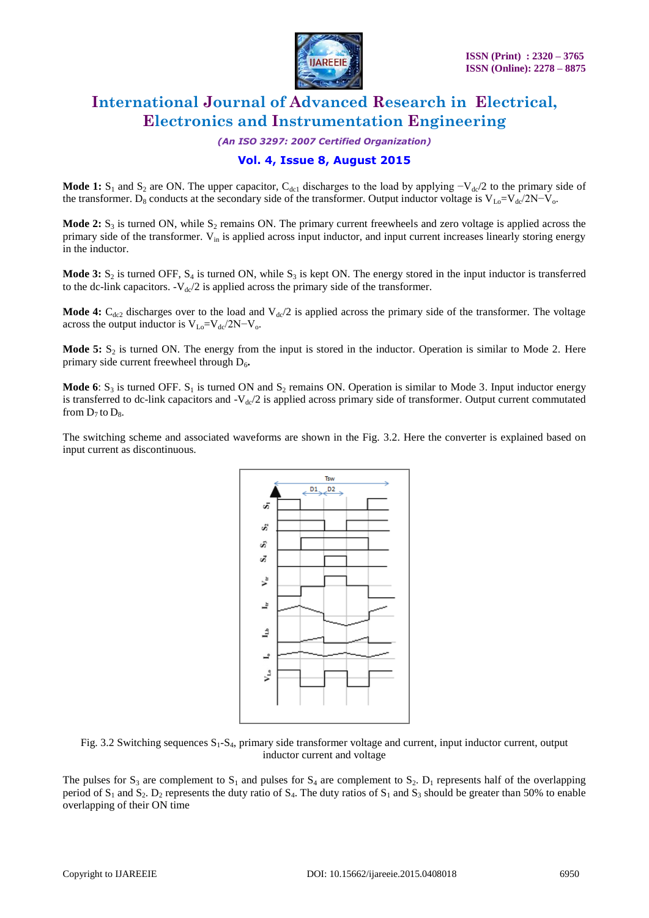

*(An ISO 3297: 2007 Certified Organization)*

### **Vol. 4, Issue 8, August 2015**

Mode 1: S<sub>1</sub> and S<sub>2</sub> are ON. The upper capacitor, C<sub>dc1</sub> discharges to the load by applying  $-V_{dc}/2$  to the primary side of the transformer. D<sub>8</sub> conducts at the secondary side of the transformer. Output inductor voltage is V<sub>Lo</sub>=V<sub>dc</sub>/2N-V<sub>o</sub>.

**Mode 2:**  $S_3$  is turned ON, while  $S_2$  remains ON. The primary current freewheels and zero voltage is applied across the primary side of the transformer. V<sub>in</sub> is applied across input inductor, and input current increases linearly storing energy in the inductor.

**Mode 3:**  $S_2$  is turned OFF,  $S_4$  is turned ON, while  $S_3$  is kept ON. The energy stored in the input inductor is transferred to the dc-link capacitors.  $-V_{\text{dc}}/2$  is applied across the primary side of the transformer.

**Mode 4:**  $C_{dc2}$  discharges over to the load and  $V_{dc}/2$  is applied across the primary side of the transformer. The voltage across the output inductor is  $V_{Lo} = V_{dc}/2N - V_o$ .

**Mode 5:**  $S_2$  is turned ON. The energy from the input is stored in the inductor. Operation is similar to Mode 2. Here primary side current freewheel through D<sub>6</sub>.

**Mode 6**:  $S_3$  is turned OFF.  $S_1$  is turned ON and  $S_2$  remains ON. Operation is similar to Mode 3. Input inductor energy is transferred to dc-link capacitors and  $-V<sub>dc</sub>/2$  is applied across primary side of transformer. Output current commutated from  $D_7$  to  $D_8$ .

The switching scheme and associated waveforms are shown in the Fig. 3.2. Here the converter is explained based on input current as discontinuous.



Fig. 3.2 Switching sequences S<sub>1</sub>-S<sub>4</sub>, primary side transformer voltage and current, input inductor current, output inductor current and voltage

The pulses for  $S_3$  are complement to  $S_1$  and pulses for  $S_4$  are complement to  $S_2$ .  $D_1$  represents half of the overlapping period of  $S_1$  and  $S_2$ .  $D_2$  represents the duty ratio of  $S_4$ . The duty ratios of  $S_1$  and  $S_3$  should be greater than 50% to enable overlapping of their ON time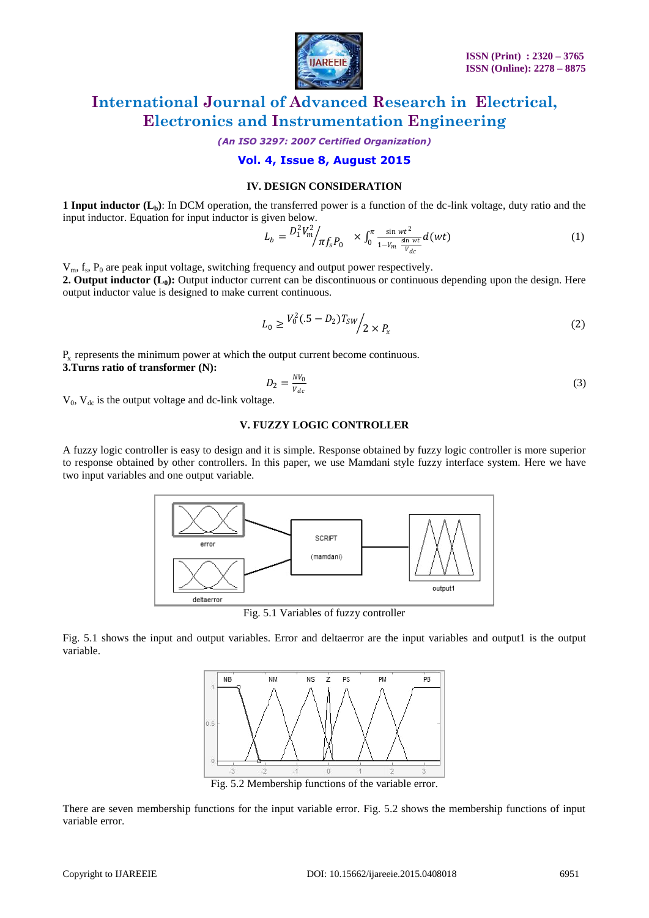

*(An ISO 3297: 2007 Certified Organization)*

### **Vol. 4, Issue 8, August 2015**

#### **IV. DESIGN CONSIDERATION**

**1 Input inductor (Lb)**: In DCM operation, the transferred power is a function of the dc-link voltage, duty ratio and the input inductor. Equation for input inductor is given below.

$$
L_b = \frac{D_1^2 V_m^2}{\pi f_s P_0} \times \int_0^{\pi} \frac{\sin wt^2}{1 - V_m \frac{\sin wt}{V_{dc}}} d(wt) \tag{1}
$$

 $V_m$ ,  $f_s$ ,  $P_0$  are peak input voltage, switching frequency and output power respectively. **2. Output inductor (L0):** Output inductor current can be discontinuous or continuous depending upon the design. Here output inductor value is designed to make current continuous.

$$
L_0 \ge \frac{V_0^2 (0.5 - D_2) T_{SW}}{2 \times P_x}
$$
 (2)

 $P<sub>x</sub>$  represents the minimum power at which the output current become continuous.

**3.Turns ratio of transformer (N):** 

$$
D_2 = \frac{N V_0}{V_{dc}}\tag{3}
$$

 $V_0$ ,  $V_{dc}$  is the output voltage and dc-link voltage.

#### **V. FUZZY LOGIC CONTROLLER**

A fuzzy logic controller is easy to design and it is simple. Response obtained by fuzzy logic controller is more superior to response obtained by other controllers. In this paper, we use Mamdani style fuzzy interface system. Here we have two input variables and one output variable.



Fig. 5.1 Variables of fuzzy controller

Fig. 5.1 shows the input and output variables. Error and deltaerror are the input variables and output1 is the output variable.



Fig. 5.2 Membership functions of the variable error.

There are seven membership functions for the input variable error. Fig. 5.2 shows the membership functions of input variable error.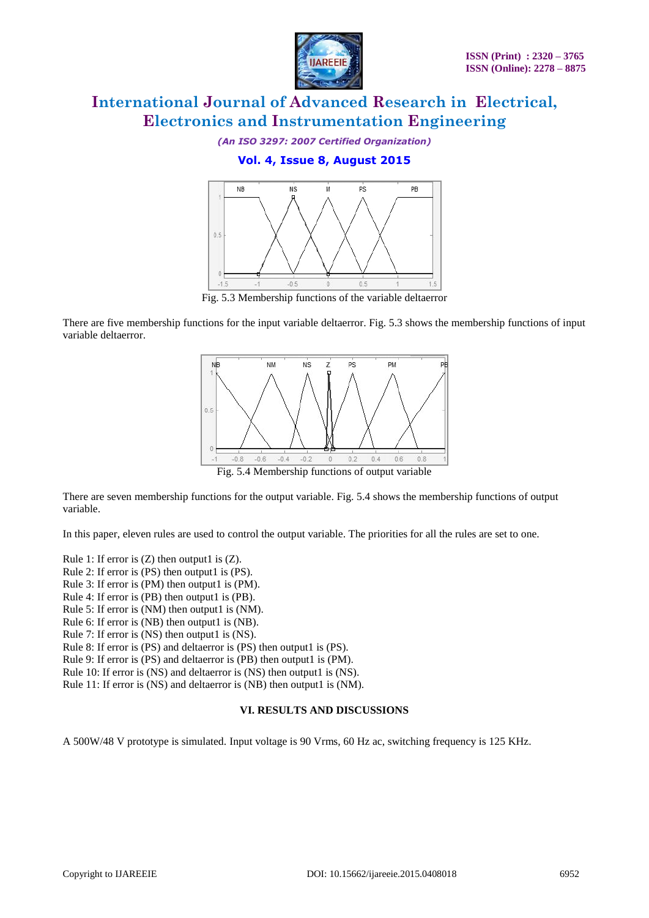

*(An ISO 3297: 2007 Certified Organization)*

### **Vol. 4, Issue 8, August 2015**



Fig. 5.3 Membership functions of the variable deltaerror

There are five membership functions for the input variable deltaerror. Fig. 5.3 shows the membership functions of input variable deltaerror.



Fig. 5.4 Membership functions of output variable

There are seven membership functions for the output variable. Fig. 5.4 shows the membership functions of output variable.

In this paper, eleven rules are used to control the output variable. The priorities for all the rules are set to one.

Rule 1: If error is  $(Z)$  then output1 is  $(Z)$ .

Rule 2: If error is (PS) then output1 is (PS).

- Rule 3: If error is (PM) then output1 is (PM).
- Rule 4: If error is (PB) then output1 is (PB).
- Rule 5: If error is (NM) then output1 is (NM).
- Rule 6: If error is (NB) then output1 is (NB).
- Rule 7: If error is (NS) then output1 is (NS).

Rule 8: If error is (PS) and deltaerror is (PS) then output1 is (PS).

Rule 9: If error is (PS) and deltaerror is (PB) then output1 is (PM).

Rule 10: If error is (NS) and deltaerror is (NS) then output1 is (NS).

Rule 11: If error is (NS) and deltaerror is (NB) then output1 is (NM).

#### **VI. RESULTS AND DISCUSSIONS**

A 500W/48 V prototype is simulated. Input voltage is 90 Vrms, 60 Hz ac, switching frequency is 125 KHz.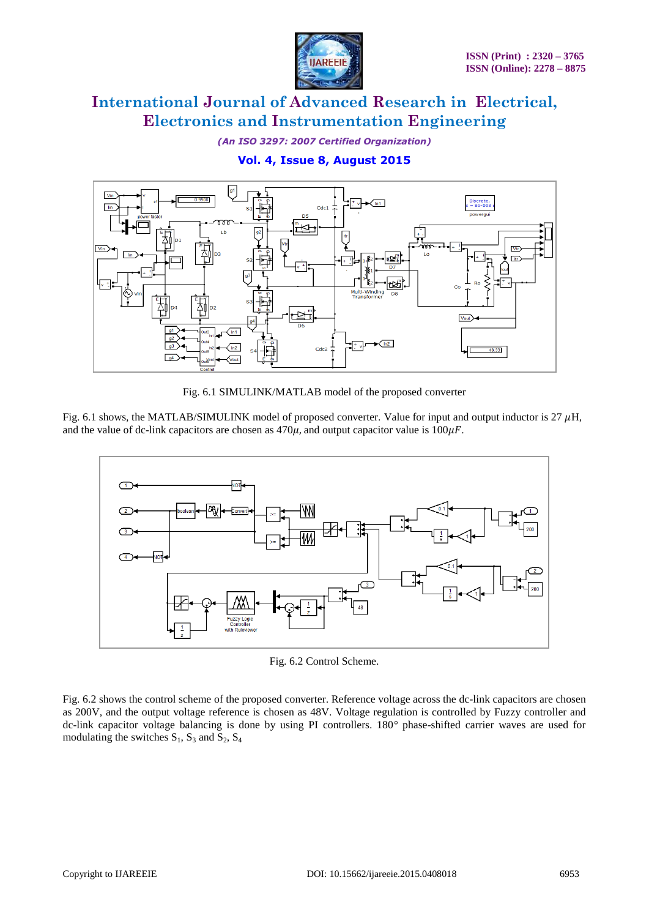

*(An ISO 3297: 2007 Certified Organization)*

### **Vol. 4, Issue 8, August 2015**



Fig. 6.1 SIMULINK/MATLAB model of the proposed converter

Fig. 6.1 shows, the MATLAB/SIMULINK model of proposed converter. Value for input and output inductor is  $27 \mu$ H, and the value of dc-link capacitors are chosen as  $470\mu$ , and output capacitor value is  $100\mu$ F.



Fig. 6.2 Control Scheme.

Fig. 6.2 shows the control scheme of the proposed converter. Reference voltage across the dc-link capacitors are chosen as 200V, and the output voltage reference is chosen as 48V. Voltage regulation is controlled by Fuzzy controller and dc-link capacitor voltage balancing is done by using PI controllers. 180*°* phase-shifted carrier waves are used for modulating the switches  $S_1$ ,  $S_3$  and  $S_2$ ,  $S_4$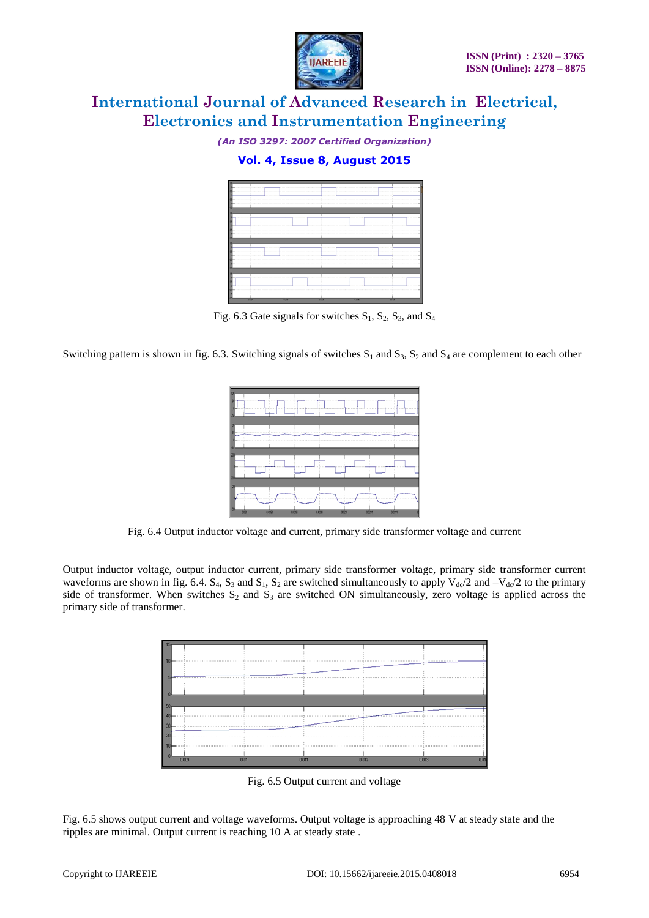

*(An ISO 3297: 2007 Certified Organization)*

### **Vol. 4, Issue 8, August 2015**



Fig. 6.3 Gate signals for switches  $S_1$ ,  $S_2$ ,  $S_3$ , and  $S_4$ 

Switching pattern is shown in fig. 6.3. Switching signals of switches  $S_1$  and  $S_3$ ,  $S_2$  and  $S_4$  are complement to each other



Fig. 6.4 Output inductor voltage and current, primary side transformer voltage and current

Output inductor voltage, output inductor current, primary side transformer voltage, primary side transformer current waveforms are shown in fig. 6.4.  $S_4$ ,  $S_3$  and  $S_1$ ,  $S_2$  are switched simultaneously to apply  $V_{dc}/2$  and  $-V_{dc}/2$  to the primary side of transformer. When switches  $S_2$  and  $S_3$  are switched ON simultaneously, zero voltage is applied across the primary side of transformer.



Fig. 6.5 Output current and voltage

Fig. 6.5 shows output current and voltage waveforms. Output voltage is approaching 48 V at steady state and the ripples are minimal. Output current is reaching 10 A at steady state .